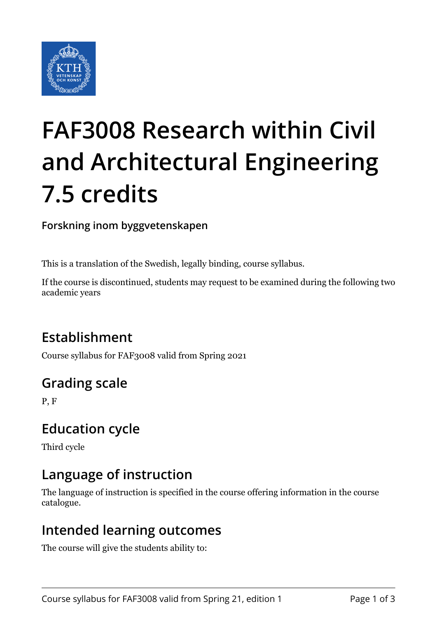

# **FAF3008 Research within Civil and Architectural Engineering 7.5 credits**

**Forskning inom byggvetenskapen**

This is a translation of the Swedish, legally binding, course syllabus.

If the course is discontinued, students may request to be examined during the following two academic years

# **Establishment**

Course syllabus for FAF3008 valid from Spring 2021

# **Grading scale**

P, F

## **Education cycle**

Third cycle

## **Language of instruction**

The language of instruction is specified in the course offering information in the course catalogue.

#### **Intended learning outcomes**

The course will give the students ability to: